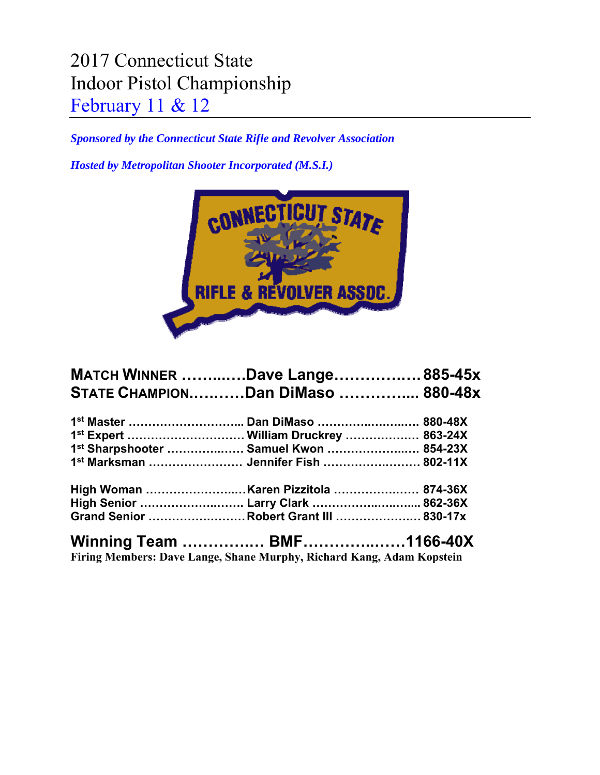## 2017 Connecticut State Indoor Pistol Championship February 11 & 12

*Sponsored by the Connecticut State Rifle and Revolver Association* 

*Hosted by Metropolitan Shooter Incorporated (M.S.I.)* 



| <b>MATCH WINNER Dave Lange 885-45x</b>   |  |
|------------------------------------------|--|
| <b>STATE CHAMPIONDan DiMaso  880-48x</b> |  |
|                                          |  |
| 1st Expert  William Druckrey  863-24X    |  |
| 1st Sharpshooter  Samuel Kwon  854-23X   |  |
| 1st Marksman  Jennifer Fish  802-11X     |  |
|                                          |  |
| High Senior  Larry Clark  862-36X        |  |
| Grand Senior Robert Grant III  830-17x   |  |
|                                          |  |

**Firing Members: Dave Lange, Shane Murphy, Richard Kang, Adam Kopstein**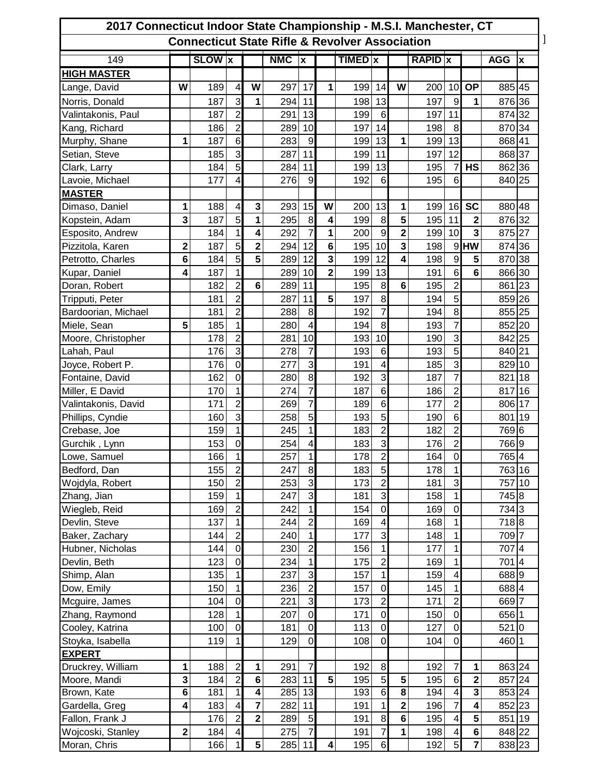| 2017 Connecticut Indoor State Championship - M.S.I. Manchester, CT<br><b>Connecticut State Rifle &amp; Revolver Association</b> |                 |               |                         |                         |           |                          |                     |                |                          |                              |                |                         |                         |            |    |
|---------------------------------------------------------------------------------------------------------------------------------|-----------------|---------------|-------------------------|-------------------------|-----------|--------------------------|---------------------|----------------|--------------------------|------------------------------|----------------|-------------------------|-------------------------|------------|----|
| 149                                                                                                                             |                 | <b>SLOW x</b> |                         |                         | $NMC$ $x$ |                          |                     | <b>TIMED</b> x |                          |                              | <b>RAPID</b> x |                         |                         | <b>AGG</b> | ΙX |
| <b>HIGH MASTER</b>                                                                                                              |                 |               |                         |                         |           |                          |                     |                |                          |                              |                |                         |                         |            |    |
| Lange, David                                                                                                                    | W               | 189           | 4                       | W                       | 297       | 17                       | 1                   | 199            | 14                       | W                            | 200            | 10                      | <b>OP</b>               | 885 45     |    |
| Norris, Donald                                                                                                                  |                 | 187           | 3                       | 1                       | 294       | 11                       |                     | 198            | 13                       |                              | 197            | 9                       | 1                       | 876 36     |    |
| Valintakonis, Paul                                                                                                              |                 | 187           | $\overline{2}$          |                         | 291       | 13                       |                     | 199            | $\,6$                    |                              | 197            | 11                      |                         | 874 32     |    |
| Kang, Richard                                                                                                                   |                 | 186           | $\overline{2}$          |                         | 289       | 10                       |                     | 197            | 14                       |                              | 198            | 8                       |                         | 870 34     |    |
| Murphy, Shane                                                                                                                   | 1               | 187           | $6\phantom{1}6$         |                         | 283       | 9                        |                     | 199            | 13                       | 1                            | 199            | 13                      |                         | 868 41     |    |
| Setian, Steve                                                                                                                   |                 | 185           | 3                       |                         | 287       | 11                       |                     | 199            | 11                       |                              | 197            | 12                      |                         | 868 37     |    |
| Clark, Larry                                                                                                                    |                 | 184           | 5                       |                         | 284       | 11                       |                     | 199            | 13                       |                              | 195            | $\overline{7}$          | <b>HS</b>               | 862 36     |    |
| Lavoie, Michael                                                                                                                 |                 | 177           | 4                       |                         | 276       | $\boldsymbol{9}$         |                     | 192            | $6\phantom{1}$           |                              | 195            | $6\phantom{1}6$         |                         | 840 25     |    |
|                                                                                                                                 |                 |               |                         |                         |           |                          |                     |                |                          |                              |                |                         |                         |            |    |
| <b>MASTER</b>                                                                                                                   | 1               | 188           | 4                       | 3                       | 293       | 15                       | W                   | 200            | 13                       |                              |                |                         | <b>SC</b>               | 880 48     |    |
| Dimaso, Daniel                                                                                                                  | 3               |               | 5                       |                         |           |                          |                     |                |                          | 1<br>5                       | 199            | 16                      |                         |            |    |
| Kopstein, Adam                                                                                                                  |                 | 187           |                         | 1                       | 295       | $\bf8$<br>$\overline{7}$ | 4                   | 199            | $\bf8$<br>$\overline{9}$ |                              | 195            | 11                      | $\mathbf{2}$            | 876 32     |    |
| Esposito, Andrew                                                                                                                |                 | 184           | 1<br>5                  | 4                       | 292       | 12                       | 1<br>$6\phantom{1}$ | 200            | 10                       | $\overline{\mathbf{2}}$<br>3 | 199            | 10                      | 3<br><b>HW</b>          | 875 27     |    |
| Pizzitola, Karen                                                                                                                | $\mathbf 2$     | 187           |                         | $\overline{\mathbf{2}}$ | 294       |                          |                     | 195            |                          | 4                            | 198            | 9                       |                         | 874 36     |    |
| Petrotto, Charles                                                                                                               | $6\phantom{1}6$ | 184           | 5                       | 5                       | 289       | 12                       | 3                   | 199            | 12                       |                              | 198            | $\mathsf g$             | 5                       | 870 38     |    |
| Kupar, Daniel                                                                                                                   | 4               | 187           | 1                       |                         | 289       | 10                       | $\overline{2}$      | 199            | 13                       |                              | 191            | 6                       | 6                       | 866 30     |    |
| Doran, Robert                                                                                                                   |                 | 182           | $\overline{2}$          | $6\phantom{1}6$         | 289       | 11                       |                     | 195            | 8                        | $6\phantom{1}6$              | 195            | $\overline{\mathbf{c}}$ |                         | 861 23     |    |
| Tripputi, Peter                                                                                                                 |                 | 181           | $\overline{2}$          |                         | 287       | 11                       | 5                   | 197            | 8                        |                              | 194            | 5                       |                         | 859 26     |    |
| Bardoorian, Michael                                                                                                             |                 | 181           | $\overline{2}$          |                         | 288       | 8                        |                     | 192            | $\overline{7}$           |                              | 194            | 8                       |                         | 855 25     |    |
| Miele, Sean                                                                                                                     | 5               | 185           | 1                       |                         | 280       | 4                        |                     | 194            | 8                        |                              | 193            | $\overline{7}$          |                         | 852 20     |    |
| Moore, Christopher                                                                                                              |                 | 178           | $\overline{c}$          |                         | 281       | 10                       |                     | 193            | 10                       |                              | 190            | 3                       |                         | 842 25     |    |
| Lahah, Paul                                                                                                                     |                 | 176           | 3                       |                         | 278       | $\overline{7}$           |                     | 193            | 6                        |                              | 193            | 5                       |                         | 840 21     |    |
| Joyce, Robert P.                                                                                                                |                 | 176           | $\mathbf 0$             |                         | 277       | 3                        |                     | 191            | $\overline{\mathbf{4}}$  |                              | 185            | 3                       |                         | 829 10     |    |
| Fontaine, David                                                                                                                 |                 | 162           | $\mathbf 0$             |                         | 280       | 8                        |                     | 192            | $\mathbf{3}$             |                              | 187            | $\overline{7}$          |                         | 821 18     |    |
| Miller, E David                                                                                                                 |                 | 170           | 1                       |                         | 274       | 7                        |                     | 187            | $6\phantom{1}$           |                              | 186            | $\overline{c}$          |                         | 817 16     |    |
| Valintakonis, David                                                                                                             |                 | 171           | $\overline{c}$          |                         | 269       | $\overline{7}$           |                     | 189            | 6                        |                              | 177            | $\overline{2}$          |                         | 806 17     |    |
| Phillips, Cyndie                                                                                                                |                 | 160           | $\overline{3}$          |                         | 258       | 5                        |                     | 193            | $\overline{5}$           |                              | 190            | 6                       |                         | 801 19     |    |
| Crebase, Joe                                                                                                                    |                 | 159           | 1                       |                         | 245       | 1                        |                     | 183            | $\overline{2}$           |                              | 182            | $\overline{2}$          |                         | 769 6      |    |
| Gurchik, Lynn                                                                                                                   |                 | 153           | $\mathbf 0$             |                         | 254       | 4                        |                     | 183            | 3                        |                              | 176            | $\overline{c}$          |                         | 766 9      |    |
| Lowe, Samuel                                                                                                                    |                 | 166           | 1                       |                         | 257       | 1                        |                     | 178            | $\mathbf{2}$             |                              | 164            | <sub>0</sub>            |                         | 7654       |    |
| Bedford, Dan                                                                                                                    |                 | 155           | $\overline{2}$          |                         | 247       | 8                        |                     | 183            | 5                        |                              | 178            | 1                       |                         | 763 16     |    |
| Wojdyla, Robert                                                                                                                 |                 | 150           | $\overline{2}$          |                         | 253       | $\overline{3}$           |                     | 173            | $\overline{c}$           |                              | 181            | $\overline{3}$          |                         | 757 10     |    |
| Zhang, Jian                                                                                                                     |                 | 159           | 1                       |                         | 247       | $\overline{3}$           |                     | 181            | $\mathbf{3}$             |                              | 158            | 1                       |                         | 745 8      |    |
| Wiegleb, Reid                                                                                                                   |                 | 169           | $\overline{2}$          |                         | 242       | $\overline{1}$           |                     | 154            | $\mathbf 0$              |                              | 169            | $\overline{0}$          |                         | 734 3      |    |
| Devlin, Steve                                                                                                                   |                 | 137           | 1                       |                         | 244       | $\overline{c}$           |                     | 169            | $\overline{\mathbf{4}}$  |                              | 168            | 1                       |                         | 7188       |    |
| Baker, Zachary                                                                                                                  |                 | 144           | $\overline{2}$          |                         | 240       | $\mathbf 1$              |                     | 177            | ω                        |                              | 148            | 1                       |                         | 709 7      |    |
| Hubner, Nicholas                                                                                                                |                 | 144           | $\overline{0}$          |                         | 230       | $\overline{c}$           |                     | 156            | $\mathbf 1$              |                              | 177            | 1                       |                         | 707 4      |    |
| Devlin, Beth                                                                                                                    |                 | 123           | $\mathbf 0$             |                         | 234       | $\mathbf 1$              |                     | 175            | $\overline{\mathbf{c}}$  |                              | 169            | 1                       |                         | 7014       |    |
| Shimp, Alan                                                                                                                     |                 | 135           | 1                       |                         | 237       | 3                        |                     | 157            | 1                        |                              | 159            | 4                       |                         | 6889       |    |
| Dow, Emily                                                                                                                      |                 | 150           | $\mathbf{1}$            |                         | 236       | $\overline{2}$           |                     | 157            | $\mathbf 0$              |                              | 145            | $\mathbf{1}$            |                         | 6884       |    |
| Mcguire, James                                                                                                                  |                 | 104           | $\mathbf 0$             |                         | 221       | 3                        |                     | 173            | $\overline{2}$           |                              | 171            | $\overline{2}$          |                         | 669 7      |    |
| Zhang, Raymond                                                                                                                  |                 | 128           | 1                       |                         | 207       | $\mathbf 0$              |                     | 171            | $\mathbf 0$              |                              | 150            | $\overline{0}$          |                         | 656 1      |    |
| Cooley, Katrina                                                                                                                 |                 | 100           | $\overline{0}$          |                         | 181       | $\mathbf 0$              |                     | 113            | $\mathbf 0$              |                              | 127            | $\overline{0}$          |                         | $521$ 0    |    |
| Stoyka, Isabella                                                                                                                |                 | 119           | 1                       |                         | 129       | $\boldsymbol{0}$         |                     | 108            | $\mathbf 0$              |                              | 104            | $\overline{0}$          |                         | 460 1      |    |
| <b>EXPERT</b>                                                                                                                   |                 |               |                         |                         |           |                          |                     |                |                          |                              |                |                         |                         |            |    |
| Druckrey, William                                                                                                               | 1               | 188           | $\overline{c}$          | 1                       | 291       | 7                        |                     | 192            | $\,$ 8 $\,$              |                              | 192            | $\overline{7}$          | 1                       | 863 24     |    |
| Moore, Mandi                                                                                                                    | 3               | 184           | $\overline{2}$          | 6                       | 283       | 11                       | 5                   | 195            | $\overline{5}$           | ${\bf 5}$                    | 195            | 6                       | $\overline{\mathbf{2}}$ | 857 24     |    |
| Brown, Kate                                                                                                                     | $\overline{6}$  | 181           | 1                       | 4                       | 285       | 13                       |                     | 193            | $\overline{6}$           | $\overline{\mathbf{8}}$      | 194            | $\overline{4}$          | $\overline{\mathbf{3}}$ | 853 24     |    |
| Gardella, Greg                                                                                                                  | 4               | 183           | $\overline{\mathbf{4}}$ | 7                       | 282       | 11                       |                     | 191            | $\mathbf{1}$             | $\overline{\mathbf{2}}$      | 196            | 7                       | 4                       | 852 23     |    |
| Fallon, Frank J                                                                                                                 |                 | 176           | $\overline{2}$          | $\overline{\mathbf{2}}$ | 289       | 5                        |                     | 191            | $\bf8$                   | $\bf 6$                      | 195            | $\overline{\mathbf{4}}$ | 5                       | 851 19     |    |
| Wojcoski, Stanley                                                                                                               | $\mathbf 2$     | 184           | $\overline{4}$          |                         | 275       | $\overline{7}$           |                     | 191            | $\boldsymbol{7}$         | 1                            | 198            | $\overline{4}$          | $\bf 6$                 | 848 22     |    |
| Moran, Chris                                                                                                                    |                 | 166           | 1                       | 5                       | 285       | 11                       | 4                   | 195            | 6                        |                              | 192            | 5 <sub>l</sub>          | $\overline{7}$          | 838 23     |    |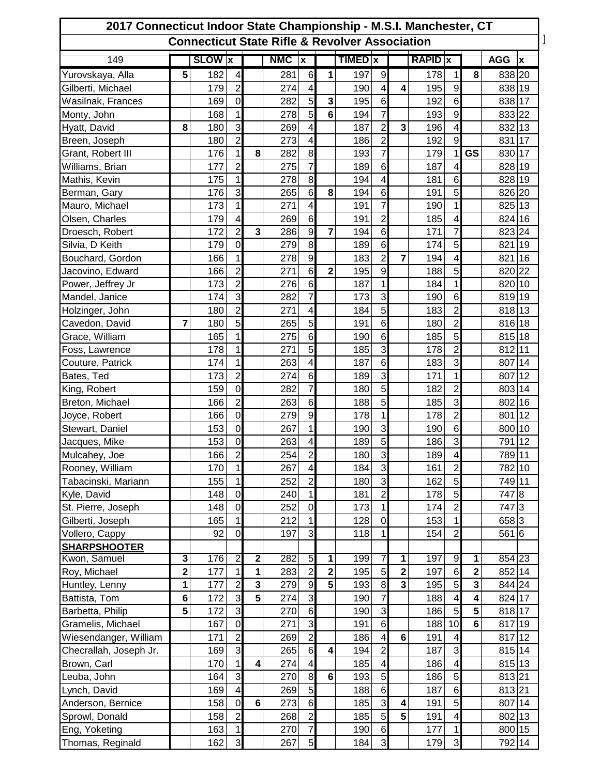| 2017 Connecticut Indoor State Championship - M.S.I. Manchester, CT |              |               |                         |                         |            |                         |                |                |                     |                         |                |                               |                |            |                           |
|--------------------------------------------------------------------|--------------|---------------|-------------------------|-------------------------|------------|-------------------------|----------------|----------------|---------------------|-------------------------|----------------|-------------------------------|----------------|------------|---------------------------|
| <b>Connecticut State Rifle &amp; Revolver Association</b>          |              |               |                         |                         |            |                         |                |                |                     |                         |                |                               |                |            |                           |
| 149                                                                |              | <b>SLOW x</b> |                         |                         | <b>NMC</b> | $\overline{\mathbf{x}}$ |                | <b>TIMED</b> x |                     |                         | <b>RAPID x</b> |                               |                | <b>AGG</b> | $\boldsymbol{\mathsf{x}}$ |
| Yurovskaya, Alla                                                   | 5            | 182           | 4                       |                         | 281        | 6                       | 1              | 197            | 9                   |                         | 178            | 1                             | 8              | 838 20     |                           |
| Gilberti, Michael                                                  |              | 179           | $\overline{2}$          |                         | 274        | 4                       |                | 190            | 4                   | 4                       | 195            | $\boldsymbol{9}$              |                | 838 19     |                           |
| Wasilnak, Frances                                                  |              | 169           | $\mathbf 0$             |                         | 282        | $\overline{5}$          | 3              | 195            | $6\phantom{1}$      |                         | 192            | $6\phantom{1}$                |                | 838 17     |                           |
| Monty, John                                                        |              | 168           | 1                       |                         | 278        | 5                       | 6              | 194            | $\overline{7}$      |                         | 193            | $\mathsf g$                   |                | 833 22     |                           |
| Hyatt, David                                                       | 8            | 180           | 3                       |                         | 269        | 4                       |                | 187            | $\overline{2}$      | 3                       | 196            | $\overline{4}$                |                | 832 13     |                           |
| Breen, Joseph                                                      |              | 180           | $\overline{2}$          |                         | 273        | 4                       |                | 186            | $\overline{2}$      |                         | 192            | 9                             |                | 831 17     |                           |
| Grant, Robert III                                                  |              | 176           | 1                       | 8                       | 282        | 8                       |                | 193            | $\overline{7}$      |                         | 179            | 1                             | <b>GS</b>      | 830 17     |                           |
| Williams, Brian                                                    |              | 177           | 2                       |                         | 275        | $\overline{7}$          |                | 189            | 6                   |                         | 187            | 4                             |                | 828 19     |                           |
| Mathis, Kevin                                                      |              | 175           | 1                       |                         | 278        | 8                       |                | 194            | 4                   |                         | 181            | 6                             |                | 828 19     |                           |
| Berman, Gary                                                       |              | 176           | 3                       |                         | 265        | $6\phantom{1}$          | 8              | 194            | 6                   |                         | 191            | 5                             |                | 826 20     |                           |
| Mauro, Michael                                                     |              | 173           | 1                       |                         | 271        | 4                       |                | 191            | $\overline{7}$      |                         | 190            | 1                             |                | 825 13     |                           |
| Olsen, Charles                                                     |              | 179           | 4                       |                         | 269        | $6\phantom{1}6$         |                | 191            | $\overline{c}$      |                         | 185            | 4                             |                | 824 16     |                           |
| Droesch, Robert                                                    |              | 172           | $\overline{2}$          | $\overline{\mathbf{3}}$ | 286        | 9                       | $\overline{7}$ | 194            | $6\phantom{1}$      |                         | 171            | 7                             |                | 823 24     |                           |
| Silvia, D Keith                                                    |              | 179           | $\mathbf 0$             |                         | 279        | $\overline{8}$          |                | 189            | $6\phantom{1}$      |                         | 174            | 5                             |                | 821 19     |                           |
| Bouchard, Gordon                                                   |              | 166           | 1                       |                         | 278        | $\overline{9}$          |                | 183            | $\overline{2}$      | $\overline{7}$          | 194            | $\overline{4}$                |                | 821 16     |                           |
| Jacovino, Edward                                                   |              | 166           | $\overline{2}$          |                         | 271        | $6\phantom{1}$          | $\overline{2}$ | 195            | $\boldsymbol{9}$    |                         | 188            | 5                             |                | 820 22     |                           |
| Power, Jeffrey Jr                                                  |              | 173           | $\overline{2}$          |                         | 276        | $\,6$                   |                | 187            | 1                   |                         | 184            | $\mathbf{1}$                  |                | 820 10     |                           |
| Mandel, Janice                                                     |              | 174           | 3                       |                         | 282        | 7                       |                | 173            | 3                   |                         | 190            | 6                             |                | 819 19     |                           |
| Holzinger, John                                                    |              | 180           | $\overline{2}$          |                         | 271        | 4                       |                | 184            | 5                   |                         | 183            | $\overline{2}$                |                | 818 13     |                           |
| Cavedon, David                                                     | 7            | 180           | 5                       |                         | 265        | 5                       |                | 191            | 6                   |                         | 180            | $\overline{2}$                |                | 816 18     |                           |
| Grace, William                                                     |              | 165           | 1                       |                         | 275        | $\,6$                   |                | 190            | 6                   |                         | 185            | 5                             |                | 815 18     |                           |
| Foss, Lawrence                                                     |              | 178           | 1                       |                         | 271        | 5                       |                | 185            | 3                   |                         | 178            | $\overline{2}$                |                | 812 11     |                           |
| Couture, Patrick                                                   |              | 174           | 1                       |                         | 263        | 4                       |                | 187            | 6                   |                         | 183            | 3                             |                | 807 14     |                           |
| Bates, Ted                                                         |              | 173           | $\overline{2}$          |                         | 274        | $\,6$                   |                | 189            | 3                   |                         | 171            | 1                             |                | 807        | 12                        |
| King, Robert                                                       |              | 159           | $\mathbf 0$             |                         | 282        | $\overline{7}$          |                | 180            | 5                   |                         | 182            | $\overline{2}$                |                | 803 14     |                           |
| Breton, Michael                                                    |              | 166           | $\overline{2}$          |                         | 263        | $\,6$                   |                | 188            | 5                   |                         | 185            | 3                             |                | 802 16     |                           |
| Joyce, Robert                                                      |              | 166           | $\mathbf 0$             |                         | 279        | 9                       |                | 178            | 1                   |                         | 178            | $\overline{2}$                |                | 801 12     |                           |
| Stewart, Daniel                                                    |              | 153           | $\mathbf 0$             |                         | 267        | 1                       |                | 190            | 3                   |                         | 190            | 6                             |                | 800 10     |                           |
| Jacques, Mike                                                      |              | 153           | $\mathbf 0$             |                         | 263        | 4                       |                | 189            | $\overline{5}$      |                         | 186            | $\overline{3}$                |                | 791 12     |                           |
| Mulcahey, Joe                                                      |              | 166           | $\overline{2}$          |                         | 254        | $\overline{2}$          |                | 180            | $\overline{3}$      |                         | 189            | $\overline{4}$                |                | 789 11     |                           |
| Rooney, William                                                    |              | 170           | $\mathbf{1}$            |                         | 267        | 4                       |                | 184            | $\overline{3}$      |                         | 161            | $\overline{2}$                |                | 782 10     |                           |
| Tabacinski, Mariann                                                |              | 155           | 1                       |                         | 252        | $\overline{2}$          |                | 180            | 3                   |                         | 162            | 5                             |                | 749 11     |                           |
|                                                                    |              | 148           | $\overline{0}$          |                         | 240        | $\mathbf{1}$            |                | 181            | $\overline{c}$      |                         | 178            | 5 <sup>1</sup>                |                | 747 8      |                           |
| Kyle, David                                                        |              | 148           | $\mathbf 0$             |                         | 252        | $\mathbf 0$             |                | 173            | 1                   |                         | 174            | $\overline{2}$                |                | 747 3      |                           |
| St. Pierre, Joseph                                                 |              |               | 1                       |                         | 212        | 1                       |                |                | $\overline{0}$      |                         | 153            | 1                             |                |            |                           |
| Gilberti, Joseph                                                   |              | 165           | $\mathbf 0$             |                         |            | $\mathbf{3}$            |                | 128            |                     |                         |                |                               |                | 658 3      |                           |
| Vollero, Cappy                                                     |              | 92            |                         |                         | 197        |                         |                | 118            | 1                   |                         | 154            | $\overline{2}$                |                | 561 6      |                           |
| <b>SHARPSHOOTER</b><br>Kwon, Samuel                                | 3            | 176           | $\overline{2}$          | $\overline{\mathbf{2}}$ | 282        | 5                       | 1              | 199            | 7                   | $\overline{\mathbf{1}}$ | 197            | 9                             | 1              | 854 23     |                           |
| Roy, Michael                                                       | $\mathbf{2}$ | 177           | 1                       | 1                       | 283        | $\overline{2}$          | $\mathbf 2$    | 195            | 5                   | $\bf 2$                 | 197            | 6                             | $\mathbf{2}$   | 852 14     |                           |
| Huntley, Lenny                                                     | 1            | 177           | $\overline{2}$          | 3                       | 279        | $\boldsymbol{9}$        | 5              | 193            | 8 <sup>1</sup>      | $\mathbf{3}$            | 195            | 5 <sub>l</sub>                | 3              | 844 24     |                           |
| Battista, Tom                                                      | 6            | 172           | 3                       | 5                       | 274        | $\mathbf{3}$            |                | 190            | $\overline{7}$      |                         | 188            | $\vert 4 \vert$               | 4              | 824 17     |                           |
| Barbetta, Philip                                                   | 5            | 172           | $\overline{3}$          |                         | 270        | $\,6$                   |                | 190            | 3                   |                         | 186            | 5                             | 5              | 818 17     |                           |
|                                                                    |              |               |                         |                         |            | $\mathbf{3}$            |                |                | 6                   |                         |                | 10 <sup>1</sup>               | $6\phantom{1}$ |            |                           |
| Gramelis, Michael                                                  |              | 167           | $\boldsymbol{0}$        |                         | 271        | $\overline{c}$          |                | 191            |                     | $\bf 6$                 | 188            |                               |                | 817 19     |                           |
| Wiesendanger, William                                              |              | 171           | $\overline{2}$<br>3     |                         | 269        | $\sigma$                |                | 186            | 4<br>$\overline{2}$ |                         | 191<br>187     | $\overline{\mathcal{A}}$<br>3 |                | 817 12     |                           |
| Checrallah, Joseph Jr.                                             |              | 169           |                         |                         | 265        |                         | 4              | 194            |                     |                         |                |                               |                | 815 14     |                           |
| Brown, Carl                                                        |              | 170           | 1                       | 4                       | 274        | 4                       |                | 185            | 4                   |                         | 186            | $\overline{\mathcal{A}}$      |                | 815 13     |                           |
| Leuba, John                                                        |              | 164           | $\mathbf{3}$            |                         | 270        | 8                       | 6              | 193            | 5                   |                         | 186            | 5 <sub>5</sub>                |                | 813 21     |                           |
| Lynch, David                                                       |              | 169           | $\overline{\mathbf{4}}$ |                         | 269        | $\overline{5}$          |                | 188            | $\,6$               |                         | 187            | 6                             |                | 813 21     |                           |
| Anderson, Bernice                                                  |              | 158           | $\mathbf 0$             | $6\phantom{a}$          | 273        | $\overline{6}$          |                | 185            | 3                   | $\overline{\mathbf{4}}$ | 191            | 5                             |                | 807 14     |                           |
| Sprowl, Donald                                                     |              | 158           | $\overline{2}$          |                         | 268        | $\overline{2}$          |                | 185            | $\overline{5}$      | $\overline{\mathbf{5}}$ | 191            | $\overline{\mathbf{4}}$       |                | 802 13     |                           |
| Eng, Yoketing                                                      |              | 163           | 1                       |                         | 270        | $\overline{7}$          |                | 190            | 6                   |                         | 177            | $\mathbf{1}$                  |                | 800 15     |                           |
| Thomas, Reginald                                                   |              | 162           | 3                       |                         | 267        | 5 <sup>1</sup>          |                | 184            | $\overline{3}$      |                         | 179            | $\overline{3}$                |                | 792 14     |                           |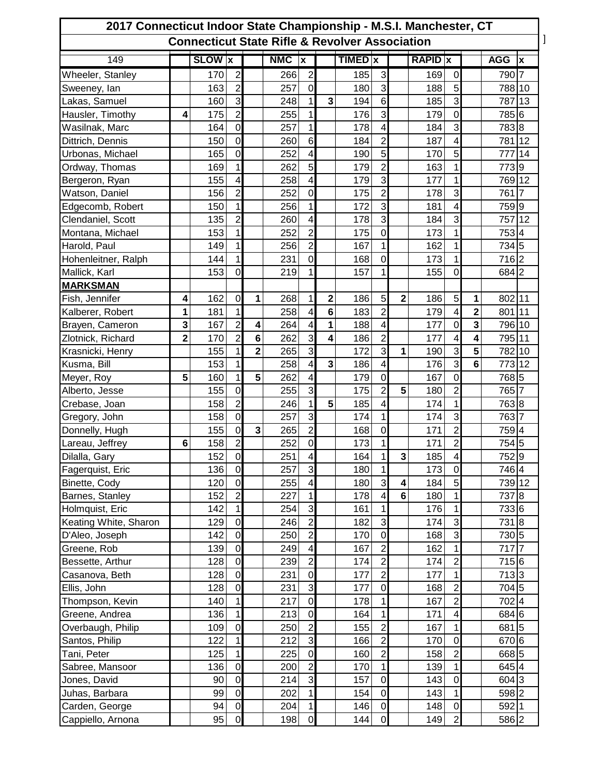| 2017 Connecticut Indoor State Championship - M.S.I. Manchester, CT<br><b>Connecticut State Rifle &amp; Revolver Association</b> |                |            |                  |                 |            |                         |   |            |                          |                         |            |                          |                         |                 |    |
|---------------------------------------------------------------------------------------------------------------------------------|----------------|------------|------------------|-----------------|------------|-------------------------|---|------------|--------------------------|-------------------------|------------|--------------------------|-------------------------|-----------------|----|
| 149<br><b>SLOW</b> X<br><b>AGG</b><br><b>NMC</b><br>TIMED x<br><b>RAPID</b> x<br>$\mathbf{x}$<br>ΙX                             |                |            |                  |                 |            |                         |   |            |                          |                         |            |                          |                         |                 |    |
|                                                                                                                                 |                |            | $\overline{2}$   |                 |            | $\overline{2}$          |   |            | 3                        |                         |            |                          |                         |                 |    |
| Wheeler, Stanley                                                                                                                |                | 170<br>163 | $\overline{2}$   |                 | 266<br>257 | $\mathbf 0$             |   | 185<br>180 | 3                        |                         | 169<br>188 | $\boldsymbol{0}$<br>5    |                         | 790 7<br>788 10 |    |
| Sweeney, lan<br>Lakas, Samuel                                                                                                   |                | 160        | 3                |                 | 248        | 1                       | 3 | 194        | $6\phantom{1}$           |                         | 185        | 3                        |                         | 787 13          |    |
| Hausler, Timothy                                                                                                                | 4              | 175        | $\overline{2}$   |                 | 255        | 1                       |   | 176        | 3                        |                         | 179        | $\overline{0}$           |                         | 785 6           |    |
| Wasilnak, Marc                                                                                                                  |                | 164        | $\mathbf 0$      |                 | 257        | 1                       |   | 178        | 4                        |                         | 184        | 3                        |                         | 783 8           |    |
| Dittrich, Dennis                                                                                                                |                | 150        | $\mathbf 0$      |                 | 260        | 6                       |   | 184        | $\overline{2}$           |                         | 187        | 4                        |                         | 781 12          |    |
| Urbonas, Michael                                                                                                                |                | 165        | $\mathbf 0$      |                 | 252        | 4                       |   | 190        | 5                        |                         | 170        | 5                        |                         | 777             | 14 |
| Ordway, Thomas                                                                                                                  |                | 169        | 1                |                 | 262        | 5                       |   | 179        | $\overline{2}$           |                         | 163        | $\mathbf{1}$             |                         | 7739            |    |
| Bergeron, Ryan                                                                                                                  |                | 155        | 4                |                 | 258        | 4                       |   | 179        | $\overline{3}$           |                         | 177        | 1                        |                         | 769 12          |    |
| Watson, Daniel                                                                                                                  |                | 156        | $\overline{2}$   |                 | 252        | $\mathbf 0$             |   | 175        | $\overline{2}$           |                         | 178        | 3                        |                         | 761 7           |    |
| Edgecomb, Robert                                                                                                                |                | 150        | 1                |                 | 256        | 1                       |   | 172        | 3                        |                         | 181        | 4                        |                         | 759 9           |    |
| Clendaniel, Scott                                                                                                               |                | 135        | $\overline{2}$   |                 | 260        | 4                       |   | 178        | $\overline{3}$           |                         | 184        | 3                        |                         | 757 12          |    |
| Montana, Michael                                                                                                                |                | 153        | 1                |                 | 252        | $\overline{2}$          |   | 175        | $\mathbf 0$              |                         | 173        | 1                        |                         | 7534            |    |
| Harold, Paul                                                                                                                    |                | 149        | 1                |                 | 256        | $\overline{c}$          |   | 167        | 1                        |                         | 162        | 1                        |                         | 734 5           |    |
| Hohenleitner, Ralph                                                                                                             |                | 144        | 1                |                 | 231        | $\mathbf 0$             |   | 168        | $\mathbf 0$              |                         | 173        | 1                        |                         | 716 2           |    |
| Mallick, Karl                                                                                                                   |                | 153        | $\overline{0}$   |                 | 219        | $\overline{1}$          |   | 157        | 1                        |                         | 155        | $\overline{0}$           |                         | 684 2           |    |
| <b>MARKSMAN</b>                                                                                                                 |                |            |                  |                 |            |                         |   |            |                          |                         |            |                          |                         |                 |    |
| Fish, Jennifer                                                                                                                  | 4              | 162        | $\mathbf 0$      | 1               | 268        | 1                       | 2 | 186        | 5                        | $\overline{\mathbf{2}}$ | 186        | 5                        | 1                       | 802 11          |    |
| Kalberer, Robert                                                                                                                | 1              | 181        | 1                |                 | 258        | 4                       | 6 | 183        | $\overline{2}$           |                         | 179        | 4                        | $\overline{\mathbf{2}}$ | 801 11          |    |
| Brayen, Cameron                                                                                                                 | 3              | 167        | $\overline{2}$   | 4               | 264        | 4                       | 1 | 188        | $\overline{\mathbf{4}}$  |                         | 177        | $\overline{0}$           | 3                       | 796 10          |    |
| Zlotnick, Richard                                                                                                               | $\overline{2}$ | 170        | $\overline{2}$   | $6\phantom{1}6$ | 262        | $\mathbf{3}$            | 4 | 186        | $\overline{c}$           |                         | 177        | $\overline{4}$           | 4                       | 795 11          |    |
| Krasnicki, Henry                                                                                                                |                | 155        | 1                | $\overline{2}$  | 265        | 3                       |   | 172        | 3                        | 1                       | 190        | $\overline{3}$           | 5                       | 782 10          |    |
| Kusma, Bill                                                                                                                     |                | 153        |                  |                 | 258        | 4                       | 3 | 186        | 4                        |                         | 176        | $\overline{3}$           | 6                       | 773 12          |    |
| Meyer, Roy                                                                                                                      | 5              | 160        | 1                | 5               | 262        | 4                       |   | 179        | $\mathbf 0$              |                         | 167        | $\mathbf 0$              |                         | 768 5           |    |
| Alberto, Jesse                                                                                                                  |                | 155        | $\mathbf 0$      |                 | 255        | 3                       |   | 175        | $\overline{2}$           | 5                       | 180        | $\overline{2}$           |                         | 765 7           |    |
| Crebase, Joan                                                                                                                   |                | 158        | $\overline{2}$   |                 | 246        | 1                       | 5 | 185        | 4                        |                         | 174        | 1                        |                         | 763 8           |    |
| Gregory, John                                                                                                                   |                | 158        | $\mathbf 0$      |                 | 257        | 3                       |   | 174        | 1                        |                         | 174        | $\mathbf{3}$             |                         | 763 7           |    |
| Donnelly, Hugh                                                                                                                  |                | 155        | $\mathbf 0$      | $\mathbf{3}$    | 265        | $\overline{2}$          |   | 168        | $\mathbf 0$              |                         | 171        | $\overline{2}$           |                         | 7594            |    |
| Lareau, Jeffrey                                                                                                                 | 6              | 158        | $\overline{2}$   |                 | 252        | $\boldsymbol{0}$        |   | 173        | 1                        |                         | 171        | $\overline{c}$           |                         | 754 5           |    |
| Dilalla, Gary                                                                                                                   |                | 152        | $\overline{0}$   |                 | 251        | 4                       |   | 164        | $\overline{\phantom{0}}$ | $\overline{\mathbf{3}}$ | 185        | $\overline{\mathcal{L}}$ |                         | 752 9           |    |
| Fagerquist, Eric                                                                                                                |                | 136        | $\mathbf 0$      |                 | 257        | 3                       |   | 180        | 1                        |                         | 173        | $\overline{0}$           |                         | 746 4           |    |
| Binette, Cody                                                                                                                   |                | 120        | $\boldsymbol{0}$ |                 | 255        | 4                       |   | 180        | 3                        | 4                       | 184        | 5                        |                         | 739 12          |    |
| Barnes, Stanley                                                                                                                 |                | 152        | $\overline{2}$   |                 | 227        | $\mathbf 1$             |   | 178        | 4                        | $6\phantom{1}$          | 180        | $\mathbf{1}$             |                         | 737 8           |    |
| Holmquist, Eric                                                                                                                 |                | 142        | 1                |                 | 254        | 3                       |   | 161        | 1                        |                         | 176        | 1                        |                         | 733 6           |    |
| Keating White, Sharon                                                                                                           |                | 129        | $\boldsymbol{0}$ |                 | 246        | $\overline{2}$          |   | 182        | 3                        |                         | 174        | 3                        |                         | 7318            |    |
| D'Aleo, Joseph                                                                                                                  |                | 142        | $\mathbf 0$      |                 | 250        | $\overline{2}$          |   | 170        | $\mathbf 0$              |                         | 168        | 3                        |                         | 730 5           |    |
| Greene, Rob                                                                                                                     |                | 139        | $\mathbf 0$      |                 | 249        | $\overline{\mathbf{4}}$ |   | 167        | $\overline{2}$           |                         | 162        | $\mathbf{1}$             |                         | $717$ 7         |    |
| Bessette, Arthur                                                                                                                |                | 128        | $\overline{0}$   |                 | 239        | $\overline{2}$          |   | 174        | $\overline{2}$           |                         | 174        | $\overline{2}$           |                         | 715 6           |    |
| Casanova, Beth                                                                                                                  |                | 128        | $\boldsymbol{0}$ |                 | 231        | $\mathbf 0$             |   | 177        | $\overline{2}$           |                         | 177        | 1                        |                         | 713 3           |    |
| Ellis, John                                                                                                                     |                | 128        | $\mathbf 0$      |                 | 231        | 3                       |   | 177        | $\mathbf 0$              |                         | 168        | $\overline{2}$           |                         | 704 5           |    |
| Thompson, Kevin                                                                                                                 |                | 140        | 1                |                 | 217        | $\mathbf 0$             |   | 178        | 1                        |                         | 167        | $\overline{2}$           |                         | 7024            |    |
| Greene, Andrea                                                                                                                  |                | 136        | $\mathbf{1}$     |                 | 213        | $\mathbf 0$             |   | 164        | $\mathbf{1}$             |                         | 171        | $\overline{\mathbf{4}}$  |                         | 684 6           |    |
| Overbaugh, Philip                                                                                                               |                | 109        | $\boldsymbol{0}$ |                 | 250        | $\overline{c}$          |   | 155        | $\boldsymbol{2}$         |                         | 167        | $\mathbf{1}$             |                         | 6815            |    |
| Santos, Philip                                                                                                                  |                | 122        | 1                |                 | 212        | $\overline{3}$          |   | 166        | $\overline{2}$           |                         | 170        | $\mathbf 0$              |                         | 670 6           |    |
| Tani, Peter                                                                                                                     |                | 125        | $\mathbf{1}$     |                 | 225        | $\mathbf 0$             |   | 160        | $\overline{c}$           |                         | 158        | $\overline{2}$           |                         | 668 5           |    |
| Sabree, Mansoor                                                                                                                 |                | 136        | $\mathbf 0$      |                 | 200        | $\overline{c}$          |   | 170        | 1                        |                         | 139        | $\mathbf{1}$             |                         | 645 4           |    |
| Jones, David                                                                                                                    |                | 90         | $\pmb{0}$        |                 | 214        | 3                       |   | 157        | $\pmb{0}$                |                         | 143        | $\overline{0}$           |                         | 604 3           |    |
| Juhas, Barbara                                                                                                                  |                | 99         | $\mathbf 0$      |                 | 202        | $\mathbf 1$             |   | 154        | $\boldsymbol{0}$         |                         | 143        | 1                        |                         | 598 2           |    |
| Carden, George                                                                                                                  |                | 94         | $\pmb{0}$        |                 | 204        | 1                       |   | 146        | $\pmb{0}$                |                         | 148        | $\mathbf 0$              |                         | 592 1           |    |
| Cappiello, Arnona                                                                                                               |                | 95         | $\mathbf 0$      |                 | 198        | $\mathbf 0$             |   | 144        | $\overline{0}$           |                         | 149        | $\overline{2}$           |                         | 586 2           |    |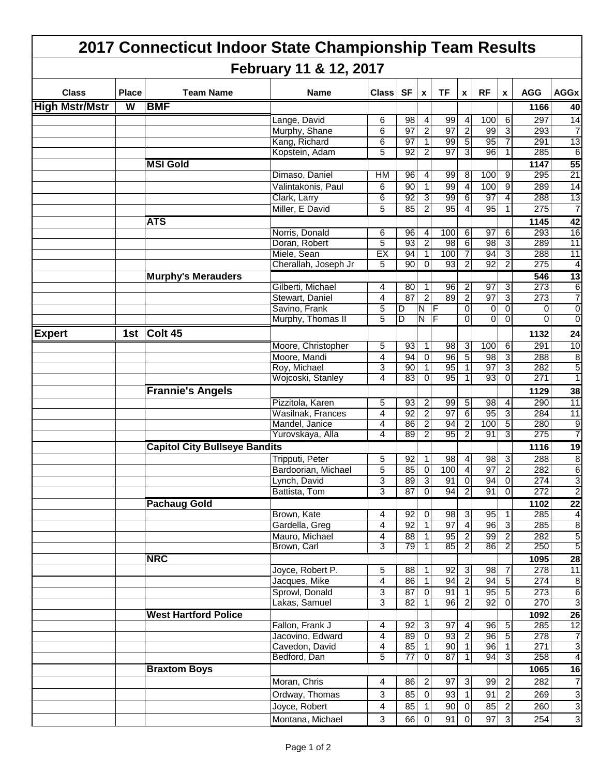|                       |              | 2017 Connecticut Indoor State Championship Team Results |                                    |                |                 |                           |                       |                                  |                               |                      |                  |                         |
|-----------------------|--------------|---------------------------------------------------------|------------------------------------|----------------|-----------------|---------------------------|-----------------------|----------------------------------|-------------------------------|----------------------|------------------|-------------------------|
|                       |              |                                                         | February 11 & 12, 2017             |                |                 |                           |                       |                                  |                               |                      |                  |                         |
| <b>Class</b>          | <b>Place</b> | <b>Team Name</b>                                        | Name                               | <b>Class</b>   | <b>SF</b>       | $\boldsymbol{\mathsf{X}}$ | <b>TF</b>             | X                                | <b>RF</b>                     | $\pmb{\mathsf{x}}$   | <b>AGG</b>       | <b>AGGx</b>             |
| <b>High Mstr/Mstr</b> | W            | <b>BMF</b>                                              |                                    |                |                 |                           |                       |                                  |                               |                      | 1166             | 40                      |
|                       |              |                                                         | Lange, David                       | 6              | 98              | 4                         | 99                    | 4                                | 100                           | 6                    | 297              | 14                      |
|                       |              |                                                         | Murphy, Shane                      | 6              | 97              | 2                         | 97                    | $\overline{2}$                   | 99                            | 3                    | 293              | 7                       |
|                       |              |                                                         | Kang, Richard                      | 6              | $\overline{97}$ | 1                         | 99<br>$\overline{97}$ | $\overline{5}$                   | 95                            | 7                    | 291              | $\overline{13}$         |
|                       |              |                                                         | Kopstein, Adam                     | 5              | 92              | 2                         |                       | 3                                | 96                            |                      | 285              | $\overline{6}$          |
|                       |              | <b>MSI Gold</b>                                         | Dimaso, Daniel                     | HM             | 96              | 4                         | 99                    | 8                                | 100                           | 9                    | 1147<br>295      | $\overline{55}$<br>21   |
|                       |              |                                                         | Valintakonis, Paul                 | 6              | 90              | 1                         | 99                    | 4                                | 100                           | 9                    | 289              | 14                      |
|                       |              |                                                         | Clark, Larry                       | 6              | 92              | 3                         | 99                    | 6                                | 97                            | 4                    | 288              | 13                      |
|                       |              |                                                         | Miller, E David                    | 5              | 85              | 2                         | 95                    | 4                                | 95                            | 1                    | 275              | $\overline{7}$          |
|                       |              | <b>ATS</b>                                              |                                    |                |                 |                           |                       |                                  |                               |                      | 1145             | 42                      |
|                       |              |                                                         | Norris, Donald                     | 6              | 96              | 4                         | 100                   | 6                                | 97                            | 6                    | 293              | 16                      |
|                       |              |                                                         | Doran, Robert                      | 5              | 93              | 2                         | 98                    | 6                                | 98                            | 3                    | 289              | $\overline{11}$         |
|                       |              |                                                         | Miele, Sean                        | EX             | 94              |                           | 100                   | 7                                | 94                            | 3                    | 288              | 11                      |
|                       |              |                                                         | Cherallah, Joseph Jr               | 5              | $\overline{90}$ | 0                         | 93                    | 2                                | 92                            | 2                    | 275              | $\overline{4}$          |
|                       |              | <b>Murphy's Merauders</b>                               |                                    |                |                 |                           |                       |                                  |                               |                      | 546              | 13                      |
|                       |              |                                                         | Gilberti, Michael                  | 4              | 80              | 1                         | 96                    | 2                                | $\overline{97}$               | 3                    | 273              | $\overline{6}$          |
|                       |              |                                                         | Stewart, Daniel                    | 4              | 87              | 2                         | 89                    | $\overline{2}$                   | 97                            | 3                    | $\overline{273}$ | $\overline{7}$          |
|                       |              |                                                         | Savino, Frank<br>Murphy, Thomas II | 5<br>5         | D<br>D          | N<br>N                    | IF<br>IF              | $\mathbf 0$<br>0                 | $\mathbf 0$<br>$\overline{0}$ | $\Omega$<br>$\Omega$ | 0<br>0           | 0<br>0                  |
| <b>Expert</b>         |              |                                                         |                                    |                |                 |                           |                       |                                  |                               |                      |                  |                         |
|                       |              | 1st Colt 45                                             |                                    |                |                 |                           |                       |                                  |                               |                      | 1132             | 24                      |
|                       |              |                                                         | Moore, Christopher                 | 5              | 93              | $\mathbf{1}$              | 98                    | دن                               | 100                           | 6                    | 291              | 10                      |
|                       |              |                                                         | Moore, Mandi<br>Roy, Michael       | 4<br>3         | 94<br>90        | $\mathbf 0$<br>1          | 96<br>95              | 5<br>$\mathbf{1}$                | 98<br>97                      | 3<br>3               | 288<br>282       | 8<br>5                  |
|                       |              |                                                         | Wojcoski, Stanley                  | 4              | 83              | $\Omega$                  | 95                    | 1                                | 93                            | 0                    | 271              | 1                       |
|                       |              | <b>Frannie's Angels</b>                                 |                                    |                |                 |                           |                       |                                  |                               |                      | 1129             | 38                      |
|                       |              |                                                         | Pizzitola, Karen                   | 5              | 93              | 2                         | 99                    | $\overline{5}$                   | 98                            | 4                    | 290              | 11                      |
|                       |              |                                                         | Wasilnak, Frances                  | 4              | 92              | 2                         | 97                    | $\,6$                            | 95                            | 3                    | 284              | 11                      |
|                       |              |                                                         | Mandel, Janice                     | 4              | 86              | 2                         | 94                    | 2                                | 100                           | 5                    | 280              | 9                       |
|                       |              |                                                         | Yurovskaya, Alla                   | 4              | 89              | 2                         | 95                    | 2                                | 91                            | 3                    | 275              | 7                       |
|                       |              | <b>Capitol City Bullseye Bandits</b>                    |                                    |                |                 |                           |                       |                                  |                               |                      | 1116             | 19                      |
|                       |              |                                                         | Tripputi, Peter                    | 5              | 92              |                           | 98                    | 4                                | 98                            | 3                    | 288              | $\overline{8}$          |
|                       |              |                                                         | Bardoorian, Michael                | 5              | 85              | $\overline{0}$            | 100                   | $\overline{4}$                   | 97                            | <sub>2</sub>         | 282              | 6                       |
|                       |              |                                                         | Lynch, David                       | 3              | 89              | 3                         | 91                    | $\overline{0}$                   | 94                            | $\overline{0}$       | 274              | 3                       |
|                       |              |                                                         | Battista, Tom                      | 3              | 87              | $\overline{0}$            | 94                    | $\overline{2}$                   | 91                            | $\overline{0}$       | 272              | $\overline{2}$          |
|                       |              | <b>Pachaug Gold</b>                                     |                                    |                |                 |                           |                       |                                  |                               |                      | 1102             | 22                      |
|                       |              |                                                         | Brown, Kate                        | 4              | 92              | $\overline{0}$            | 98                    | 3                                | 95                            | 1                    | 285              | $\overline{4}$          |
|                       |              |                                                         | Gardella, Greg<br>Mauro, Michael   | 4<br>4         | 92<br>88        | $\mathbf{1}$              | 97<br>95              | $\overline{4}$<br>$\overline{2}$ | 96<br>99                      | دى<br>$\overline{2}$ | 285<br>282       | 8<br>5                  |
|                       |              |                                                         | Brown, Carl                        | 3              | 79              | 11<br>11                  | 85                    | $\overline{2}$                   | 86                            | $\overline{2}$       | 250              | 5                       |
|                       |              | <b>NRC</b>                                              |                                    |                |                 |                           |                       |                                  |                               |                      | 1095             | $\overline{28}$         |
|                       |              |                                                         | Joyce, Robert P.                   | 5              | 88              | 1                         | 92                    | $\mathbf{3}$                     | 98                            | 7                    | 278              | 11                      |
|                       |              |                                                         | Jacques, Mike                      | 4              | 86              | 1                         | 94                    | $\overline{2}$                   | 94                            | 5                    | 274              | $\overline{8}$          |
|                       |              |                                                         | Sprowl, Donald                     | 3              | 87              | $\overline{0}$            | 91                    | $\overline{\phantom{a}}$         | 95                            | 5                    | 273              | $\overline{6}$          |
|                       |              |                                                         | Lakas, Samuel                      | 3              | 82              | 1                         | 96                    | $\overline{2}$                   | 92                            | $\overline{0}$       | 270              | $\overline{3}$          |
|                       |              | <b>West Hartford Police</b>                             |                                    |                |                 |                           |                       |                                  |                               |                      | 1092             | 26                      |
|                       |              |                                                         | Fallon, Frank J                    | $\overline{4}$ | 92              | دی                        | 97                    | $\blacktriangle$                 | 96                            | 5                    | 285              | $\overline{12}$         |
|                       |              |                                                         | Jacovino, Edward                   | 4              | 89              | $\overline{0}$            | 93                    | <sub>N</sub>                     | 96                            | 5                    | 278              | $\overline{7}$          |
|                       |              |                                                         | Cavedon, David                     | 4              | 85              | 1                         | 90                    | $\mathbf{1}$                     | 96                            | 1                    | 271              | $\overline{\mathbf{3}}$ |
|                       |              |                                                         | Bedford, Dan                       | 5              | 77              | $\overline{0}$            | 87                    | 1                                | 94                            | 3                    | 258              | $\overline{4}$          |
|                       |              | <b>Braxtom Boys</b>                                     |                                    |                |                 |                           |                       |                                  |                               |                      | 1065             | 16                      |
|                       |              |                                                         | Moran, Chris                       | 4              | 86              | $\overline{2}$            | 97                    | $\mathbf{3}$                     | 99                            | $\boldsymbol{2}$     | 282              | $\overline{7}$          |
|                       |              |                                                         | Ordway, Thomas                     | 3              | 85              | $\overline{0}$            | 93                    | $\mathbf{1}$                     | 91                            | $\overline{2}$       | 269              | 3                       |
|                       |              |                                                         | Joyce, Robert                      | $\overline{4}$ | 85              | $\vert$ 1                 | 90                    | $\overline{0}$                   | 85                            | $\overline{2}$       | 260              | 3                       |
|                       |              |                                                         | Montana, Michael                   | 3              | 66              | $\overline{0}$            | 91                    | $\overline{0}$                   | 97                            | $\overline{3}$       | 254              | 3                       |